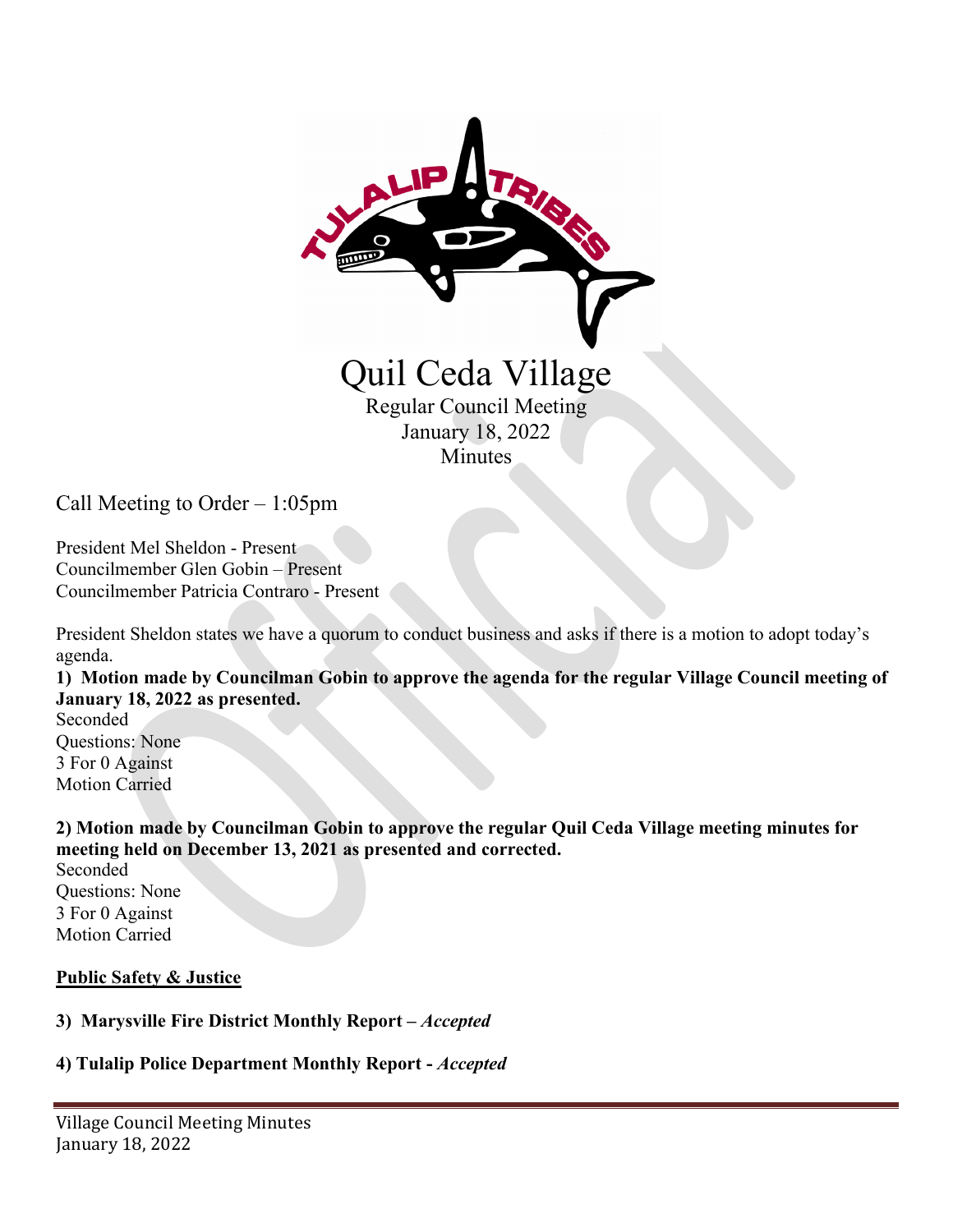

Call Meeting to Order – 1:05pm

President Mel Sheldon - Present Councilmember Glen Gobin – Present Councilmember Patricia Contraro - Present

President Sheldon states we have a quorum to conduct business and asks if there is a motion to adopt today's agenda.

**1) Motion made by Councilman Gobin to approve the agenda for the regular Village Council meeting of January 18, 2022 as presented.**

Seconded Questions: None 3 For 0 Against Motion Carried

**2) Motion made by Councilman Gobin to approve the regular Quil Ceda Village meeting minutes for meeting held on December 13, 2021 as presented and corrected.**

Seconded Questions: None 3 For 0 Against Motion Carried

#### **Public Safety & Justice**

### **3) Marysville Fire District Monthly Report –** *Accepted*

# **4) Tulalip Police Department Monthly Report -** *Accepted*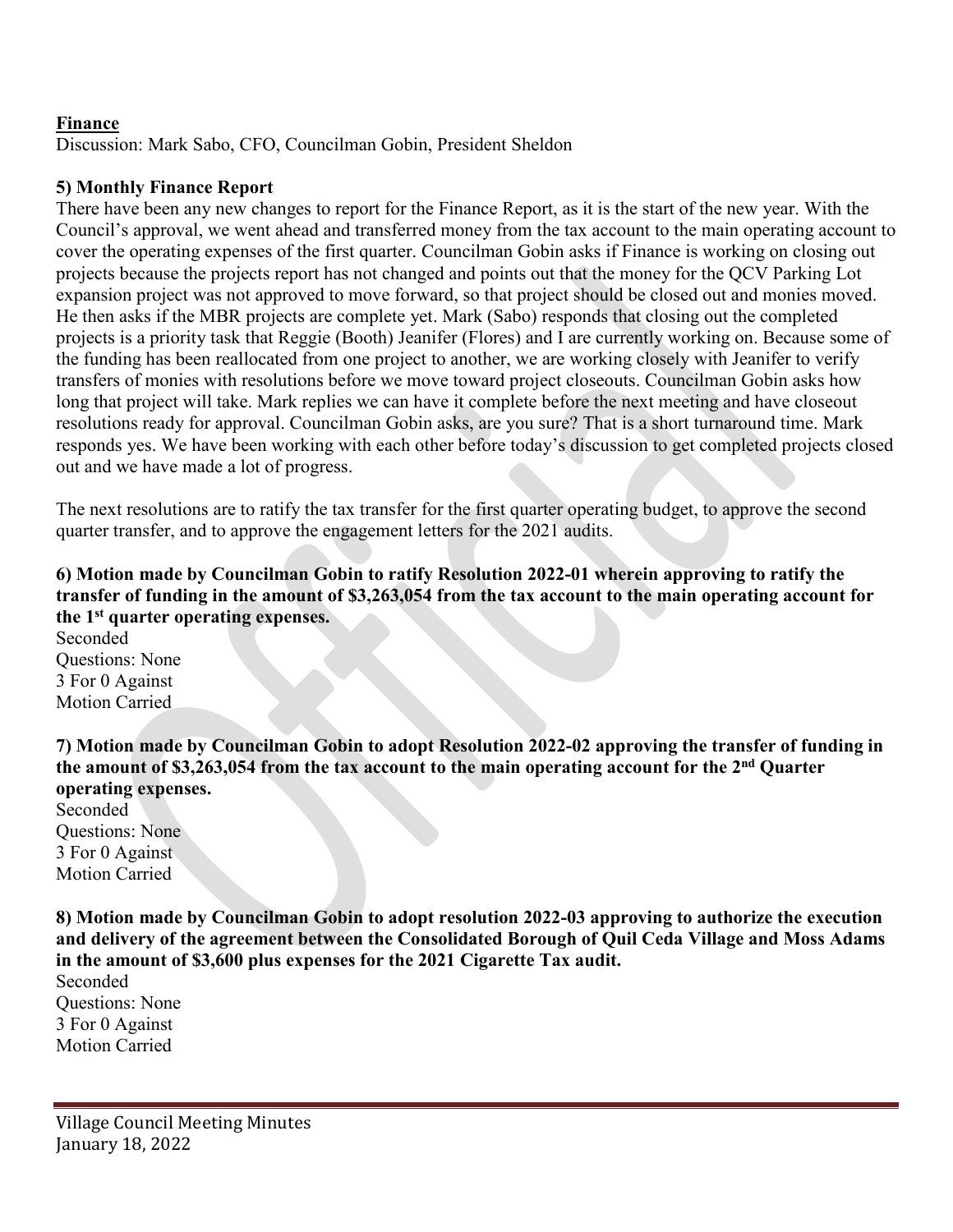### **Finance**

Discussion: Mark Sabo, CFO, Councilman Gobin, President Sheldon

## **5) Monthly Finance Report**

There have been any new changes to report for the Finance Report, as it is the start of the new year. With the Council's approval, we went ahead and transferred money from the tax account to the main operating account to cover the operating expenses of the first quarter. Councilman Gobin asks if Finance is working on closing out projects because the projects report has not changed and points out that the money for the QCV Parking Lot expansion project was not approved to move forward, so that project should be closed out and monies moved. He then asks if the MBR projects are complete yet. Mark (Sabo) responds that closing out the completed projects is a priority task that Reggie (Booth) Jeanifer (Flores) and I are currently working on. Because some of the funding has been reallocated from one project to another, we are working closely with Jeanifer to verify transfers of monies with resolutions before we move toward project closeouts. Councilman Gobin asks how long that project will take. Mark replies we can have it complete before the next meeting and have closeout resolutions ready for approval. Councilman Gobin asks, are you sure? That is a short turnaround time. Mark responds yes. We have been working with each other before today's discussion to get completed projects closed out and we have made a lot of progress.

The next resolutions are to ratify the tax transfer for the first quarter operating budget, to approve the second quarter transfer, and to approve the engagement letters for the 2021 audits.

## **6) Motion made by Councilman Gobin to ratify Resolution 2022-01 wherein approving to ratify the transfer of funding in the amount of \$3,263,054 from the tax account to the main operating account for the 1st quarter operating expenses.**

Seconded Questions: None 3 For 0 Against Motion Carried

**7) Motion made by Councilman Gobin to adopt Resolution 2022-02 approving the transfer of funding in the amount of \$3,263,054 from the tax account to the main operating account for the 2nd Quarter operating expenses.** 

Seconded Questions: None 3 For 0 Against Motion Carried

**8) Motion made by Councilman Gobin to adopt resolution 2022-03 approving to authorize the execution and delivery of the agreement between the Consolidated Borough of Quil Ceda Village and Moss Adams in the amount of \$3,600 plus expenses for the 2021 Cigarette Tax audit.** 

Seconded Questions: None 3 For 0 Against Motion Carried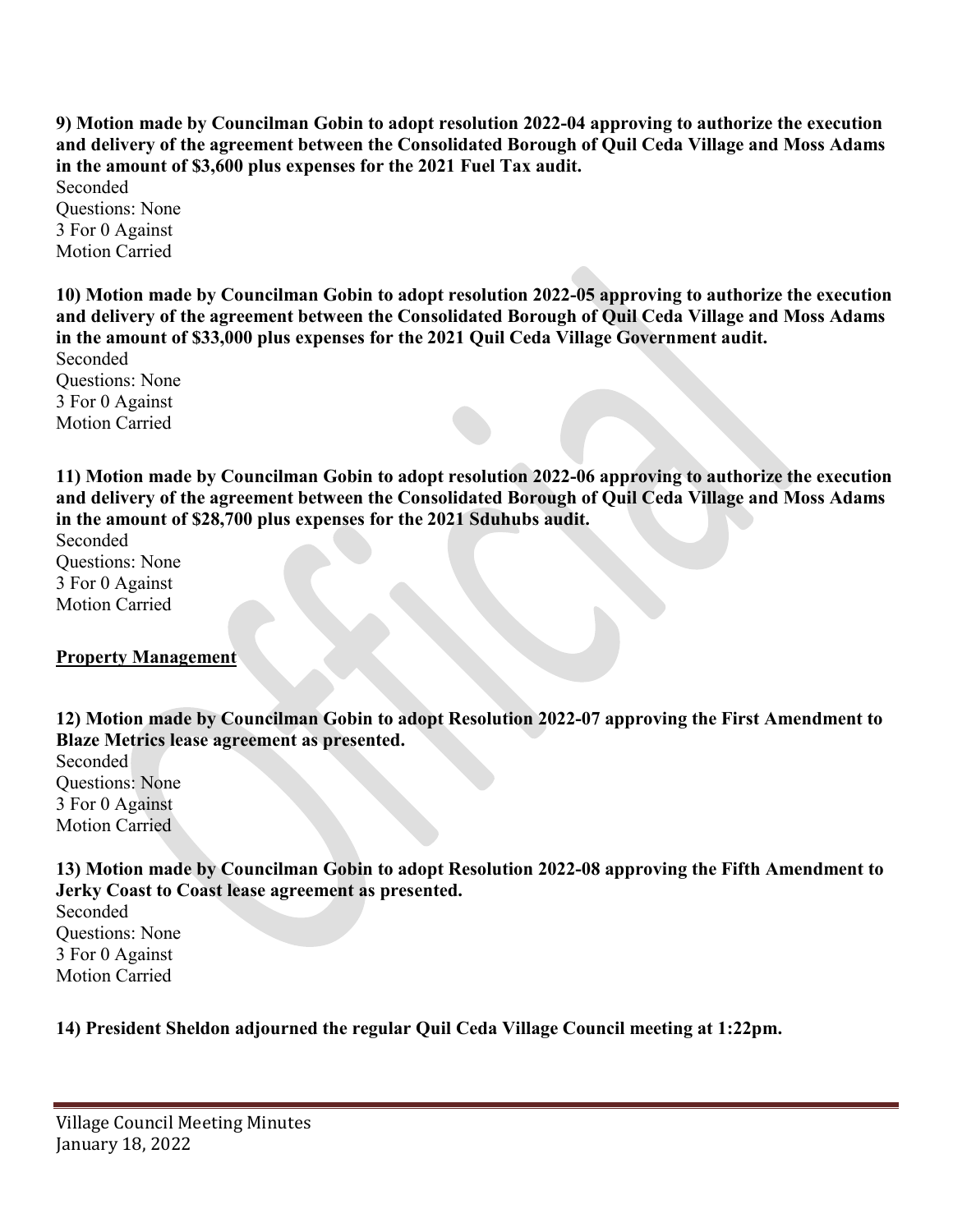**9) Motion made by Councilman Gobin to adopt resolution 2022-04 approving to authorize the execution and delivery of the agreement between the Consolidated Borough of Quil Ceda Village and Moss Adams in the amount of \$3,600 plus expenses for the 2021 Fuel Tax audit.** 

Seconded Questions: None 3 For 0 Against Motion Carried

**10) Motion made by Councilman Gobin to adopt resolution 2022-05 approving to authorize the execution and delivery of the agreement between the Consolidated Borough of Quil Ceda Village and Moss Adams in the amount of \$33,000 plus expenses for the 2021 Quil Ceda Village Government audit.** 

Seconded Questions: None 3 For 0 Against Motion Carried

**11) Motion made by Councilman Gobin to adopt resolution 2022-06 approving to authorize the execution and delivery of the agreement between the Consolidated Borough of Quil Ceda Village and Moss Adams in the amount of \$28,700 plus expenses for the 2021 Sduhubs audit.** 

Seconded Questions: None 3 For 0 Against Motion Carried

# **Property Management**

**12) Motion made by Councilman Gobin to adopt Resolution 2022-07 approving the First Amendment to Blaze Metrics lease agreement as presented.** 

Seconded Questions: None 3 For 0 Against Motion Carried

**13) Motion made by Councilman Gobin to adopt Resolution 2022-08 approving the Fifth Amendment to Jerky Coast to Coast lease agreement as presented.** 

Seconded Questions: None 3 For 0 Against Motion Carried

**14) President Sheldon adjourned the regular Quil Ceda Village Council meeting at 1:22pm.**